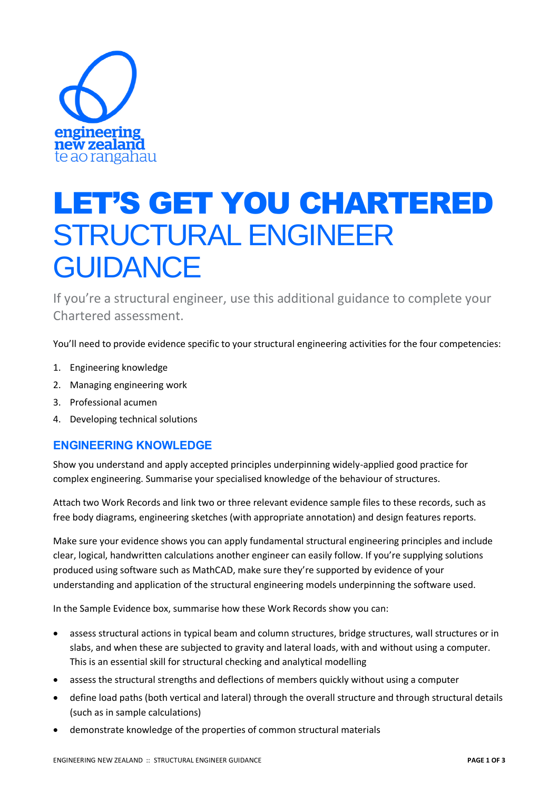

# LET'S GET YOU CHARTERED STRUCTURAL ENGINEER **GUIDANCE**

If you're a structural engineer, use this additional guidance to complete your Chartered assessment.

You'll need to provide evidence specific to your structural engineering activities for the four competencies:

- 1. Engineering knowledge
- 2. Managing engineering work
- 3. Professional acumen
- 4. Developing technical solutions

# **ENGINEERING KNOWLEDGE**

Show you understand and apply accepted principles underpinning widely-applied good practice for complex engineering. Summarise your specialised knowledge of the behaviour of structures.

Attach two Work Records and link two or three relevant evidence sample files to these records, such as free body diagrams, engineering sketches (with appropriate annotation) and design features reports.

Make sure your evidence shows you can apply fundamental structural engineering principles and include clear, logical, handwritten calculations another engineer can easily follow. If you're supplying solutions produced using software such as MathCAD, make sure they're supported by evidence of your understanding and application of the structural engineering models underpinning the software used.

In the Sample Evidence box, summarise how these Work Records show you can:

- assess structural actions in typical beam and column structures, bridge structures, wall structures or in slabs, and when these are subjected to gravity and lateral loads, with and without using a computer. This is an essential skill for structural checking and analytical modelling
- assess the structural strengths and deflections of members quickly without using a computer
- define load paths (both vertical and lateral) through the overall structure and through structural details (such as in sample calculations)
- demonstrate knowledge of the properties of common structural materials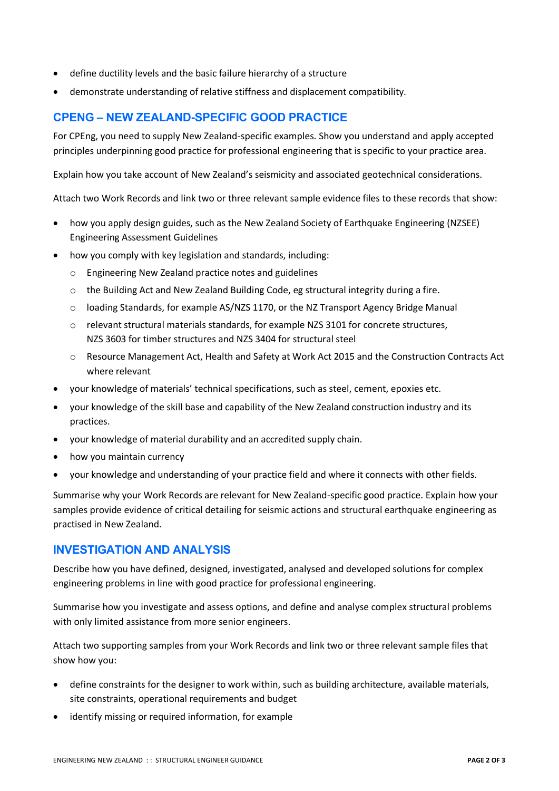- define ductility levels and the basic failure hierarchy of a structure
- demonstrate understanding of relative stiffness and displacement compatibility.

# **CPENG – NEW ZEALAND-SPECIFIC GOOD PRACTICE**

For CPEng, you need to supply New Zealand-specific examples. Show you understand and apply accepted principles underpinning good practice for professional engineering that is specific to your practice area.

Explain how you take account of New Zealand's seismicity and associated geotechnical considerations.

Attach two Work Records and link two or three relevant sample evidence files to these records that show:

- how you apply design guides, such as the New Zealand Society of Earthquake Engineering (NZSEE) Engineering Assessment Guidelines
- how you comply with key legislation and standards, including:
	- o Engineering New Zealand practice notes and guidelines
	- o the Building Act and New Zealand Building Code, eg structural integrity during a fire.
	- $\circ$  loading Standards, for example AS/NZS 1170, or the NZ Transport Agency Bridge Manual
	- o relevant structural materials standards, for example NZS 3101 for concrete structures, NZS 3603 for timber structures and NZS 3404 for structural steel
	- o Resource Management Act, Health and Safety at Work Act 2015 and the Construction Contracts Act where relevant
- your knowledge of materials' technical specifications, such as steel, cement, epoxies etc.
- your knowledge of the skill base and capability of the New Zealand construction industry and its practices.
- your knowledge of material durability and an accredited supply chain.
- how you maintain currency
- your knowledge and understanding of your practice field and where it connects with other fields.

Summarise why your Work Records are relevant for New Zealand-specific good practice. Explain how your samples provide evidence of critical detailing for seismic actions and structural earthquake engineering as practised in New Zealand.

## **INVESTIGATION AND ANALYSIS**

Describe how you have defined, designed, investigated, analysed and developed solutions for complex engineering problems in line with good practice for professional engineering.

Summarise how you investigate and assess options, and define and analyse complex structural problems with only limited assistance from more senior engineers.

Attach two supporting samples from your Work Records and link two or three relevant sample files that show how you:

- define constraints for the designer to work within, such as building architecture, available materials, site constraints, operational requirements and budget
- identify missing or required information, for example